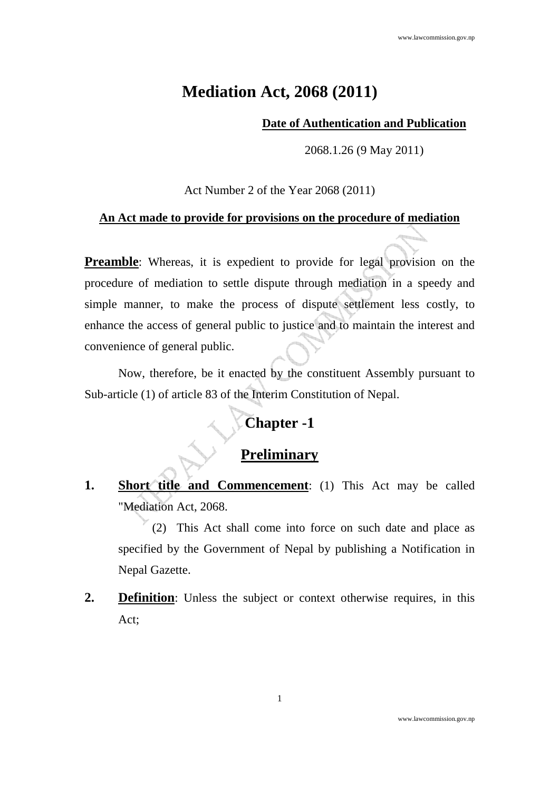# **Mediation Act, 2068 (2011)**

#### **Date of Authentication and Publication**

2068.1.26 (9 May 2011)

Act Number 2 of the Year 2068 (2011)

#### **An Act made to provide for provisions on the procedure of mediation**

**Preamble**: Whereas, it is expedient to provide for legal provision on the procedure of mediation to settle dispute through mediation in a speedy and simple manner, to make the process of dispute settlement less costly, to enhance the access of general public to justice and to maintain the interest and convenience of general public.

Now, therefore, be it enacted by the constituent Assembly pursuant to Sub-article (1) of article 83 of the Interim Constitution of Nepal.

# **Chapter -1**

# **Preliminary**

**1. Short title and Commencement**: (1) This Act may be called "Mediation Act, 2068.

(2) This Act shall come into force on such date and place as specified by the Government of Nepal by publishing a Notification in Nepal Gazette.

**2. Definition**: Unless the subject or context otherwise requires, in this Act;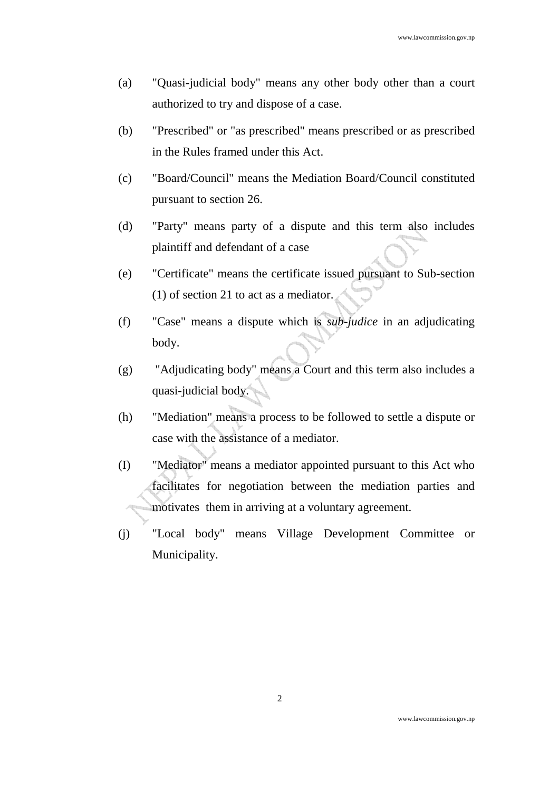- (a) "Quasi-judicial body" means any other body other than a court authorized to try and dispose of a case.
- (b) "Prescribed" or "as prescribed" means prescribed or as prescribed in the Rules framed under this Act.
- (c) "Board/Council" means the Mediation Board/Council constituted pursuant to section 26.
- (d) "Party" means party of a dispute and this term also includes plaintiff and defendant of a case
- (e) "Certificate" means the certificate issued pursuant to Sub-section (1) of section 21 to act as a mediator.
- (f) "Case" means a dispute which is *sub-judice* in an adjudicating body.
- (g) "Adjudicating body" means a Court and this term also includes a quasi-judicial body.
- (h) "Mediation" means a process to be followed to settle a dispute or case with the assistance of a mediator.
- (I) "Mediator" means a mediator appointed pursuant to this Act who facilitates for negotiation between the mediation parties and motivates them in arriving at a voluntary agreement.
- (j) "Local body" means Village Development Committee or Municipality.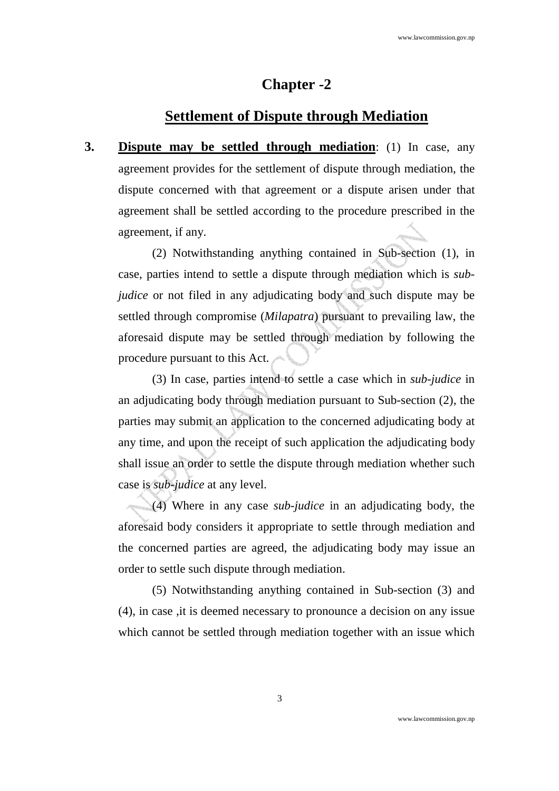## **Chapter -2**

## **Settlement of Dispute through Mediation**

**3. Dispute may be settled through mediation**: (1) In case, any agreement provides for the settlement of dispute through mediation, the dispute concerned with that agreement or a dispute arisen under that agreement shall be settled according to the procedure prescribed in the agreement, if any.

(2) Notwithstanding anything contained in Sub-section (1), in case, parties intend to settle a dispute through mediation which is *subjudice* or not filed in any adjudicating body and such dispute may be settled through compromise (*Milapatra*) pursuant to prevailing law, the aforesaid dispute may be settled through mediation by following the procedure pursuant to this Act.

(3) In case, parties intend to settle a case which in *sub-judice* in an adjudicating body through mediation pursuant to Sub-section (2), the parties may submit an application to the concerned adjudicating body at any time, and upon the receipt of such application the adjudicating body shall issue an order to settle the dispute through mediation whether such case is *sub-judice* at any level.

(4) Where in any case *sub-judice* in an adjudicating body, the aforesaid body considers it appropriate to settle through mediation and the concerned parties are agreed, the adjudicating body may issue an order to settle such dispute through mediation.

(5) Notwithstanding anything contained in Sub-section (3) and (4), in case ,it is deemed necessary to pronounce a decision on any issue which cannot be settled through mediation together with an issue which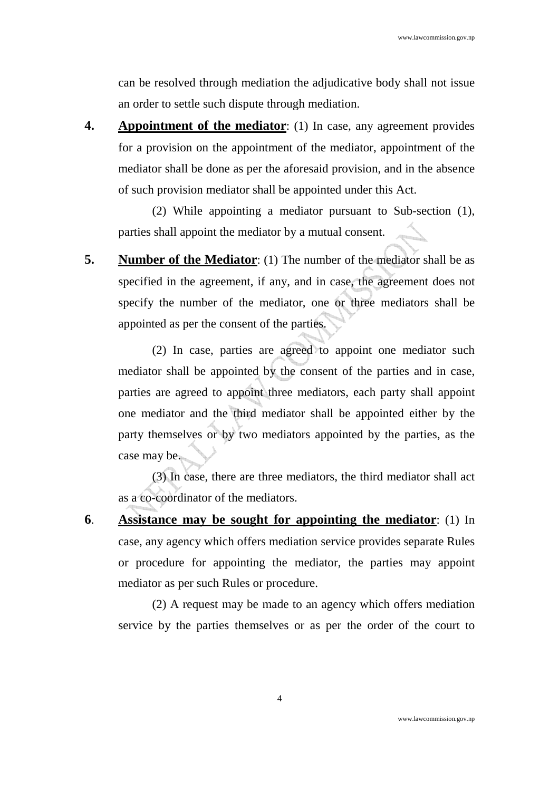can be resolved through mediation the adjudicative body shall not issue an order to settle such dispute through mediation.

**4. Appointment of the mediator**: (1) In case, any agreement provides for a provision on the appointment of the mediator, appointment of the mediator shall be done as per the aforesaid provision, and in the absence of such provision mediator shall be appointed under this Act.

(2) While appointing a mediator pursuant to Sub-section (1), parties shall appoint the mediator by a mutual consent.

**5.** Number of the Mediator: (1) The number of the mediator shall be as specified in the agreement, if any, and in case, the agreement does not specify the number of the mediator, one or three mediators shall be appointed as per the consent of the parties.

(2) In case, parties are agreed to appoint one mediator such mediator shall be appointed by the consent of the parties and in case, parties are agreed to appoint three mediators, each party shall appoint one mediator and the third mediator shall be appointed either by the party themselves or by two mediators appointed by the parties, as the case may be.

(3) In case, there are three mediators, the third mediator shall act as a co-coordinator of the mediators.

**6**. **Assistance may be sought for appointing the mediator**: (1) In case, any agency which offers mediation service provides separate Rules or procedure for appointing the mediator, the parties may appoint mediator as per such Rules or procedure.

(2) A request may be made to an agency which offers mediation service by the parties themselves or as per the order of the court to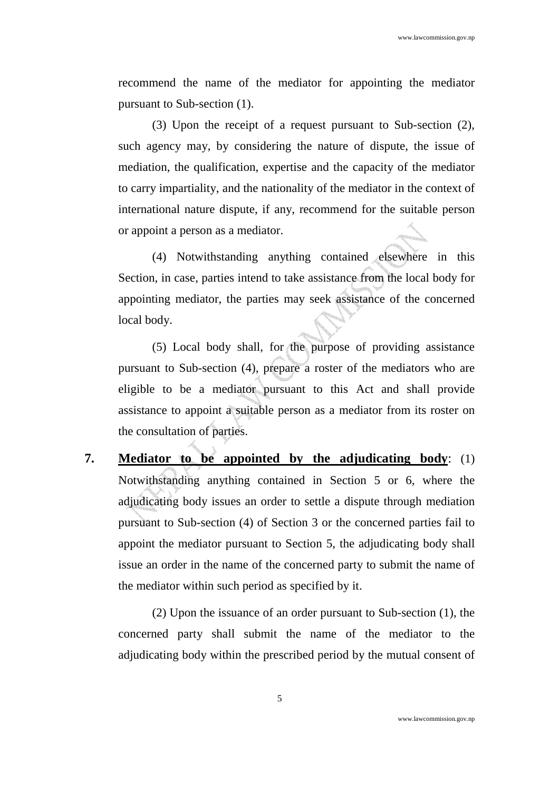recommend the name of the mediator for appointing the mediator pursuant to Sub-section (1).

(3) Upon the receipt of a request pursuant to Sub-section (2), such agency may, by considering the nature of dispute, the issue of mediation, the qualification, expertise and the capacity of the mediator to carry impartiality, and the nationality of the mediator in the context of international nature dispute, if any, recommend for the suitable person or appoint a person as a mediator.

(4) Notwithstanding anything contained elsewhere in this Section, in case, parties intend to take assistance from the local body for appointing mediator, the parties may seek assistance of the concerned local body.

(5) Local body shall, for the purpose of providing assistance pursuant to Sub-section (4), prepare a roster of the mediators who are eligible to be a mediator pursuant to this Act and shall provide assistance to appoint a suitable person as a mediator from its roster on the consultation of parties.

**7. Mediator to be appointed by the adjudicating body**: (1) Notwithstanding anything contained in Section 5 or 6, where the adjudicating body issues an order to settle a dispute through mediation pursuant to Sub-section (4) of Section 3 or the concerned parties fail to appoint the mediator pursuant to Section 5, the adjudicating body shall issue an order in the name of the concerned party to submit the name of the mediator within such period as specified by it.

(2) Upon the issuance of an order pursuant to Sub-section (1), the concerned party shall submit the name of the mediator to the adjudicating body within the prescribed period by the mutual consent of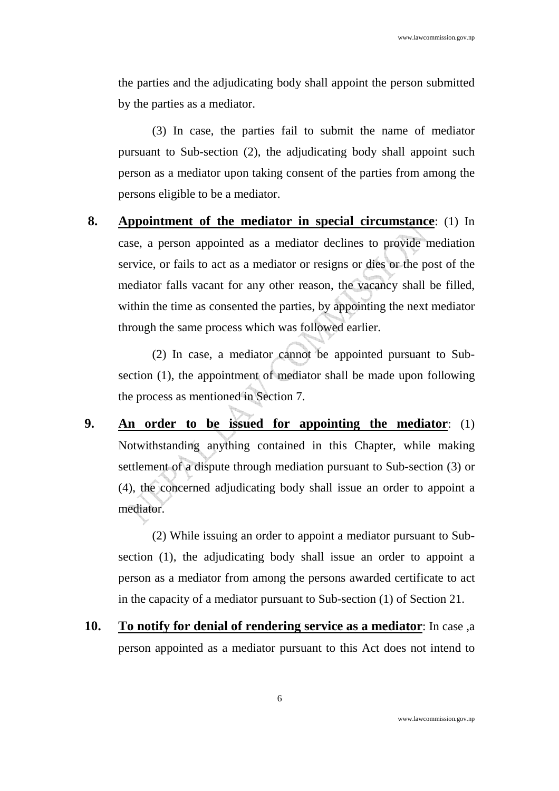the parties and the adjudicating body shall appoint the person submitted by the parties as a mediator.

(3) In case, the parties fail to submit the name of mediator pursuant to Sub-section (2), the adjudicating body shall appoint such person as a mediator upon taking consent of the parties from among the persons eligible to be a mediator.

 **8. Appointment of the mediator in special circumstance**: (1) In case, a person appointed as a mediator declines to provide mediation service, or fails to act as a mediator or resigns or dies or the post of the mediator falls vacant for any other reason, the vacancy shall be filled, within the time as consented the parties, by appointing the next mediator through the same process which was followed earlier.

(2) In case, a mediator cannot be appointed pursuant to Subsection (1), the appointment of mediator shall be made upon following the process as mentioned in Section 7.

**9. An order to be issued for appointing the mediator**: (1) Notwithstanding anything contained in this Chapter, while making settlement of a dispute through mediation pursuant to Sub-section (3) or (4), the concerned adjudicating body shall issue an order to appoint a mediator.

(2) While issuing an order to appoint a mediator pursuant to Subsection (1), the adjudicating body shall issue an order to appoint a person as a mediator from among the persons awarded certificate to act in the capacity of a mediator pursuant to Sub-section (1) of Section 21.

**10. To notify for denial of rendering service as a mediator**: In case ,a person appointed as a mediator pursuant to this Act does not intend to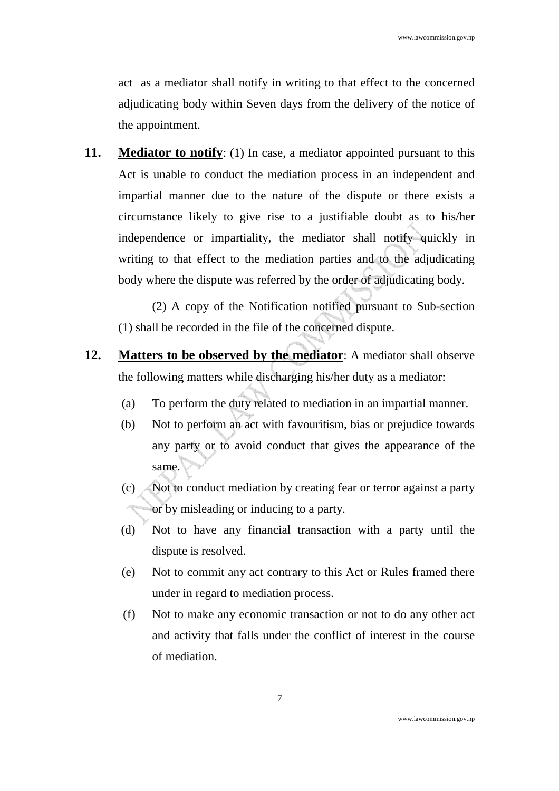act as a mediator shall notify in writing to that effect to the concerned adjudicating body within Seven days from the delivery of the notice of the appointment.

**11. Mediator to notify**: (1) In case, a mediator appointed pursuant to this Act is unable to conduct the mediation process in an independent and impartial manner due to the nature of the dispute or there exists a circumstance likely to give rise to a justifiable doubt as to his/her independence or impartiality, the mediator shall notify quickly in writing to that effect to the mediation parties and to the adjudicating body where the dispute was referred by the order of adjudicating body.

(2) A copy of the Notification notified pursuant to Sub-section (1) shall be recorded in the file of the concerned dispute.

- **12. Matters to be observed by the mediator**: A mediator shall observe the following matters while discharging his/her duty as a mediator:
	- (a) To perform the duty related to mediation in an impartial manner.
	- (b) Not to perform an act with favouritism, bias or prejudice towards any party or to avoid conduct that gives the appearance of the same.
	- (c) Not to conduct mediation by creating fear or terror against a party or by misleading or inducing to a party.
	- (d) Not to have any financial transaction with a party until the dispute is resolved.
	- (e) Not to commit any act contrary to this Act or Rules framed there under in regard to mediation process.
	- (f) Not to make any economic transaction or not to do any other act and activity that falls under the conflict of interest in the course of mediation.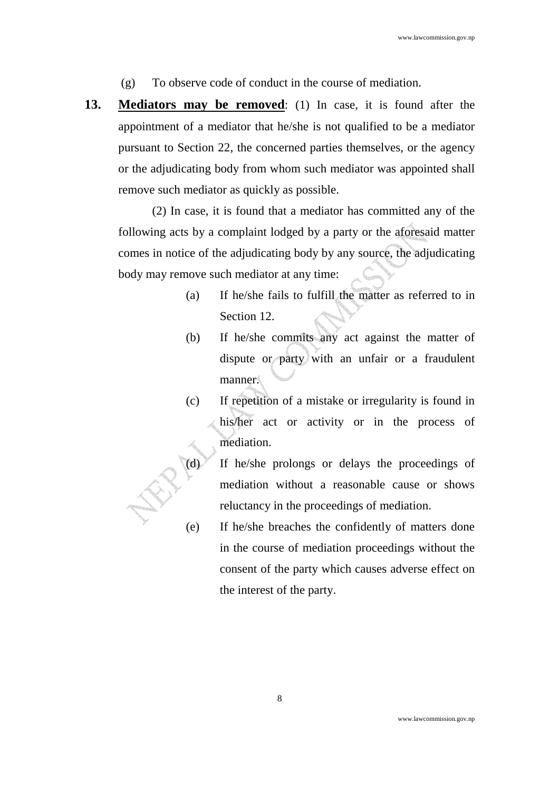- (g) To observe code of conduct in the course of mediation.
- **13. Mediators may be removed**: (1) In case, it is found after the appointment of a mediator that he/she is not qualified to be a mediator pursuant to Section 22, the concerned parties themselves, or the agency or the adjudicating body from whom such mediator was appointed shall remove such mediator as quickly as possible.

(2) In case, it is found that a mediator has committed any of the following acts by a complaint lodged by a party or the aforesaid matter comes in notice of the adjudicating body by any source, the adjudicating body may remove such mediator at any time:

- (a) If he/she fails to fulfill the matter as referred to in Section 12.
- (b) If he/she commits any act against the matter of dispute or party with an unfair or a fraudulent manner.
- (c) If repetition of a mistake or irregularity is found in his/her act or activity or in the process of mediation.
- (d) If he/she prolongs or delays the proceedings of mediation without a reasonable cause or shows reluctancy in the proceedings of mediation.
- (e) If he/she breaches the confidently of matters done in the course of mediation proceedings without the consent of the party which causes adverse effect on the interest of the party.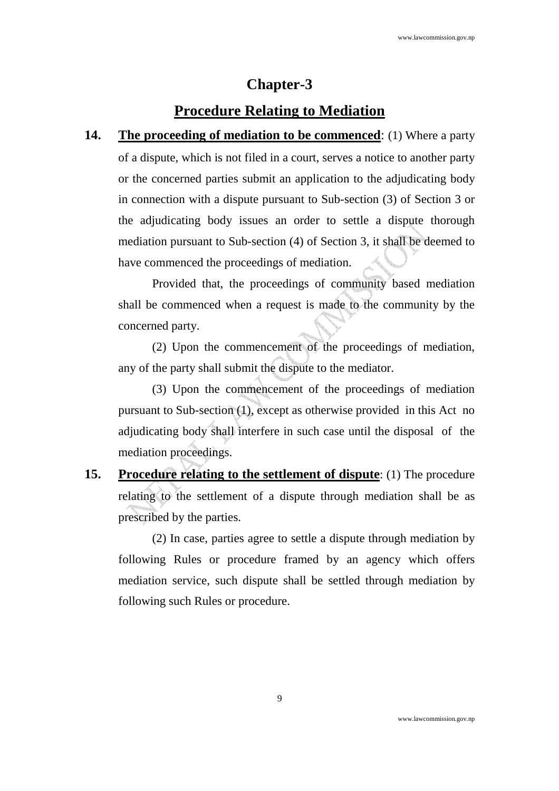## **Chapter-3**

## **Procedure Relating to Mediation**

**14.** The proceeding of mediation to be commenced: (1) Where a party of a dispute, which is not filed in a court, serves a notice to another party or the concerned parties submit an application to the adjudicating body in connection with a dispute pursuant to Sub-section (3) of Section 3 or the adjudicating body issues an order to settle a dispute thorough mediation pursuant to Sub-section (4) of Section 3, it shall be deemed to have commenced the proceedings of mediation.

Provided that, the proceedings of community based mediation shall be commenced when a request is made to the community by the concerned party.

(2) Upon the commencement of the proceedings of mediation, any of the party shall submit the dispute to the mediator.

(3) Upon the commencement of the proceedings of mediation pursuant to Sub-section (1), except as otherwise provided in this Act no adjudicating body shall interfere in such case until the disposal of the mediation proceedings.

**15. Procedure relating to the settlement of dispute**: (1) The procedure relating to the settlement of a dispute through mediation shall be as prescribed by the parties.

(2) In case, parties agree to settle a dispute through mediation by following Rules or procedure framed by an agency which offers mediation service, such dispute shall be settled through mediation by following such Rules or procedure.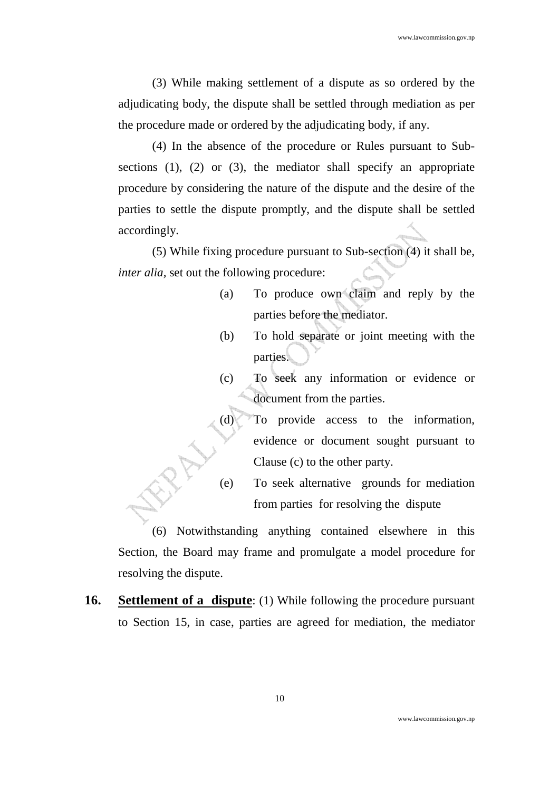(3) While making settlement of a dispute as so ordered by the adjudicating body, the dispute shall be settled through mediation as per the procedure made or ordered by the adjudicating body, if any.

(4) In the absence of the procedure or Rules pursuant to Subsections (1), (2) or (3), the mediator shall specify an appropriate procedure by considering the nature of the dispute and the desire of the parties to settle the dispute promptly, and the dispute shall be settled accordingly.

(5) While fixing procedure pursuant to Sub-section (4) it shall be, *inter alia,* set out the following procedure:

- (a) To produce own claim and reply by the parties before the mediator.
- (b) To hold separate or joint meeting with the parties.
- (c) To seek any information or evidence or document from the parties.
- (d) To provide access to the information, evidence or document sought pursuant to Clause (c) to the other party.
- (e) To seek alternative grounds for mediation from parties for resolving the dispute

(6) Notwithstanding anything contained elsewhere in this Section, the Board may frame and promulgate a model procedure for resolving the dispute.

**16. Settlement of a dispute**: (1) While following the procedure pursuant to Section 15, in case, parties are agreed for mediation, the mediator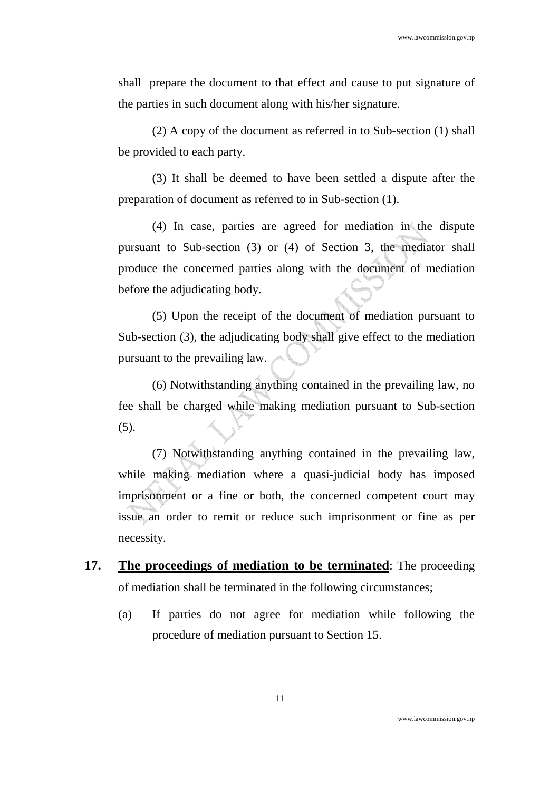shall prepare the document to that effect and cause to put signature of the parties in such document along with his/her signature.

(2) A copy of the document as referred in to Sub-section (1) shall be provided to each party.

(3) It shall be deemed to have been settled a dispute after the preparation of document as referred to in Sub-section (1).

(4) In case, parties are agreed for mediation in the dispute pursuant to Sub-section (3) or (4) of Section 3, the mediator shall produce the concerned parties along with the document of mediation before the adjudicating body.

(5) Upon the receipt of the document of mediation pursuant to Sub-section (3), the adjudicating body shall give effect to the mediation pursuant to the prevailing law.

(6) Notwithstanding anything contained in the prevailing law, no fee shall be charged while making mediation pursuant to Sub-section (5).

(7) Notwithstanding anything contained in the prevailing law, while making mediation where a quasi-judicial body has imposed imprisonment or a fine or both, the concerned competent court may issue an order to remit or reduce such imprisonment or fine as per necessity.

- **17. The proceedings of mediation to be terminated**: The proceeding of mediation shall be terminated in the following circumstances;
	- (a) If parties do not agree for mediation while following the procedure of mediation pursuant to Section 15.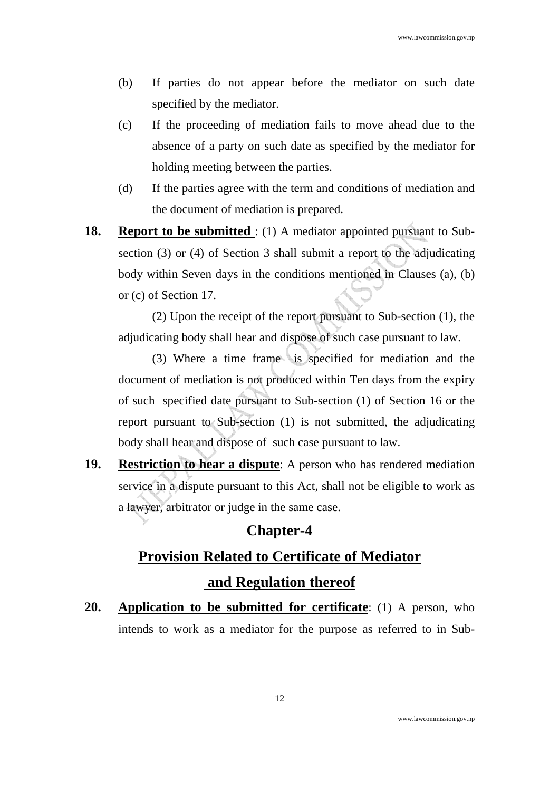- (b) If parties do not appear before the mediator on such date specified by the mediator.
- (c) If the proceeding of mediation fails to move ahead due to the absence of a party on such date as specified by the mediator for holding meeting between the parties.
- (d) If the parties agree with the term and conditions of mediation and the document of mediation is prepared.
- **18. Report to be submitted** : (1) A mediator appointed pursuant to Subsection (3) or (4) of Section 3 shall submit a report to the adjudicating body within Seven days in the conditions mentioned in Clauses (a), (b) or (c) of Section 17.

(2) Upon the receipt of the report pursuant to Sub-section (1), the adjudicating body shall hear and dispose of such case pursuant to law.

(3) Where a time frame is specified for mediation and the document of mediation is not produced within Ten days from the expiry of such specified date pursuant to Sub-section (1) of Section 16 or the report pursuant to Sub-section (1) is not submitted, the adjudicating body shall hear and dispose of such case pursuant to law.

**19. Restriction to hear a dispute**: A person who has rendered mediation service in a dispute pursuant to this Act, shall not be eligible to work as a lawyer, arbitrator or judge in the same case.

#### **Chapter-4**

# **Provision Related to Certificate of Mediator and Regulation thereof**

**20. Application to be submitted for certificate**: (1) A person, who intends to work as a mediator for the purpose as referred to in Sub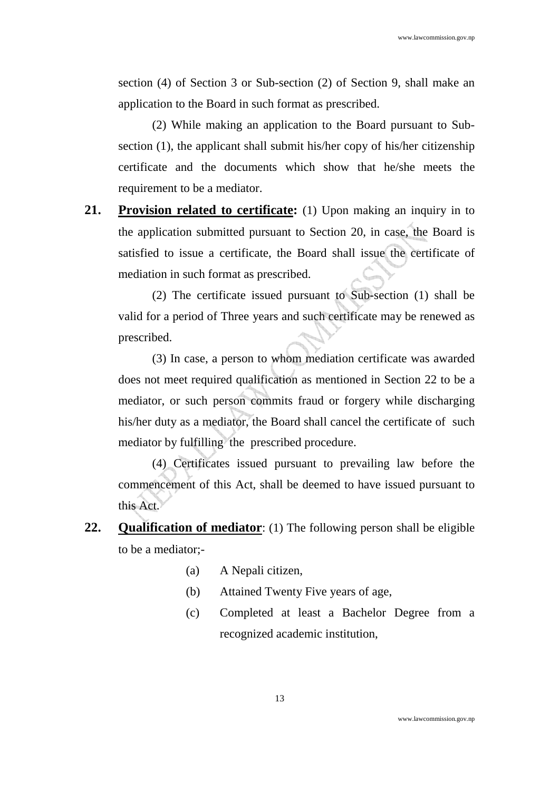section (4) of Section 3 or Sub-section (2) of Section 9, shall make an application to the Board in such format as prescribed.

(2) While making an application to the Board pursuant to Subsection (1), the applicant shall submit his/her copy of his/her citizenship certificate and the documents which show that he/she meets the requirement to be a mediator.

**21. Provision related to certificate:** (1) Upon making an inquiry in to the application submitted pursuant to Section 20, in case, the Board is satisfied to issue a certificate, the Board shall issue the certificate of mediation in such format as prescribed.

(2) The certificate issued pursuant to Sub-section (1) shall be valid for a period of Three years and such certificate may be renewed as prescribed.

(3) In case, a person to whom mediation certificate was awarded does not meet required qualification as mentioned in Section 22 to be a mediator, or such person commits fraud or forgery while discharging his/her duty as a mediator, the Board shall cancel the certificate of such mediator by fulfilling the prescribed procedure.

(4) Certificates issued pursuant to prevailing law before the commencement of this Act, shall be deemed to have issued pursuant to this Act.

- **22. Qualification of mediator**: (1) The following person shall be eligible to be a mediator;-
	- (a) A Nepali citizen,
	- (b) Attained Twenty Five years of age,
	- (c) Completed at least a Bachelor Degree from a recognized academic institution,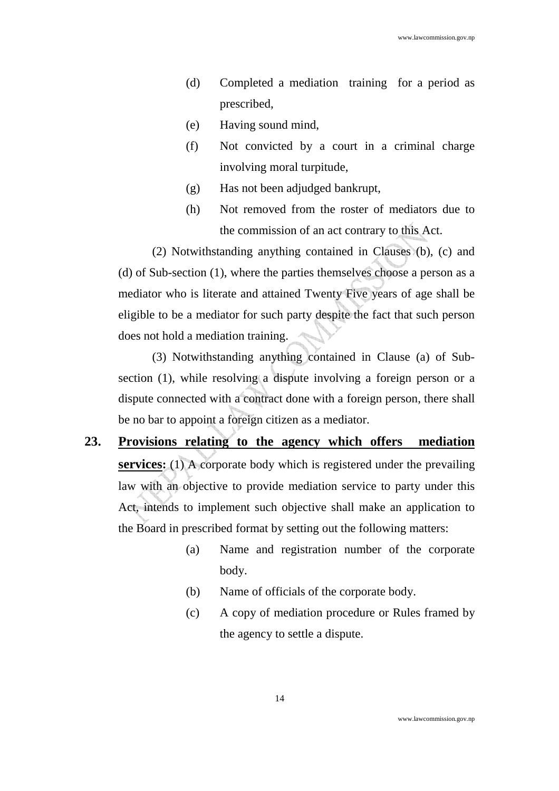- (d) Completed a mediation training for a period as prescribed,
- (e) Having sound mind,
- (f) Not convicted by a court in a criminal charge involving moral turpitude,
- (g) Has not been adjudged bankrupt,
- (h) Not removed from the roster of mediators due to the commission of an act contrary to this Act.

(2) Notwithstanding anything contained in Clauses (b), (c) and (d) of Sub-section (1), where the parties themselves choose a person as a mediator who is literate and attained Twenty Five years of age shall be eligible to be a mediator for such party despite the fact that such person does not hold a mediation training.

(3) Notwithstanding anything contained in Clause (a) of Subsection (1), while resolving a dispute involving a foreign person or a dispute connected with a contract done with a foreign person, there shall be no bar to appoint a foreign citizen as a mediator.

- **23. Provisions relating to the agency which offers mediation services:** (1) A corporate body which is registered under the prevailing law with an objective to provide mediation service to party under this Act, intends to implement such objective shall make an application to the Board in prescribed format by setting out the following matters:
	- (a) Name and registration number of the corporate body.
	- (b) Name of officials of the corporate body.
	- (c) A copy of mediation procedure or Rules framed by the agency to settle a dispute.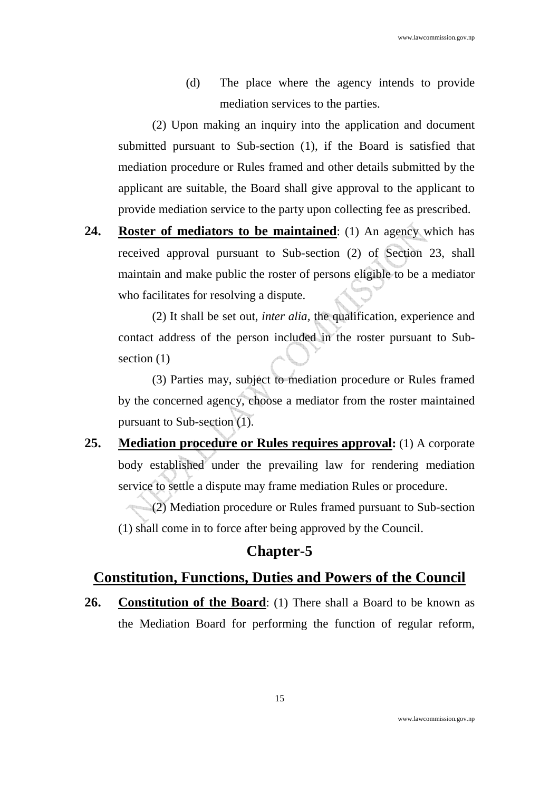(d) The place where the agency intends to provide mediation services to the parties.

(2) Upon making an inquiry into the application and document submitted pursuant to Sub-section (1), if the Board is satisfied that mediation procedure or Rules framed and other details submitted by the applicant are suitable, the Board shall give approval to the applicant to provide mediation service to the party upon collecting fee as prescribed.

**24. Roster of mediators to be maintained**: (1) An agency which has received approval pursuant to Sub-section (2) of Section 23, shall maintain and make public the roster of persons eligible to be a mediator who facilitates for resolving a dispute.

(2) It shall be set out, *inter alia,* the qualification, experience and contact address of the person included in the roster pursuant to Subsection  $(1)$ 

(3) Parties may, subject to mediation procedure or Rules framed by the concerned agency, choose a mediator from the roster maintained pursuant to Sub-section (1).

**25. Mediation procedure or Rules requires approval:** (1) A corporate body established under the prevailing law for rendering mediation service to settle a dispute may frame mediation Rules or procedure.

(2) Mediation procedure or Rules framed pursuant to Sub-section (1) shall come in to force after being approved by the Council.

### **Chapter-5**

#### **Constitution, Functions, Duties and Powers of the Council**

**26. Constitution of the Board**: (1) There shall a Board to be known as the Mediation Board for performing the function of regular reform,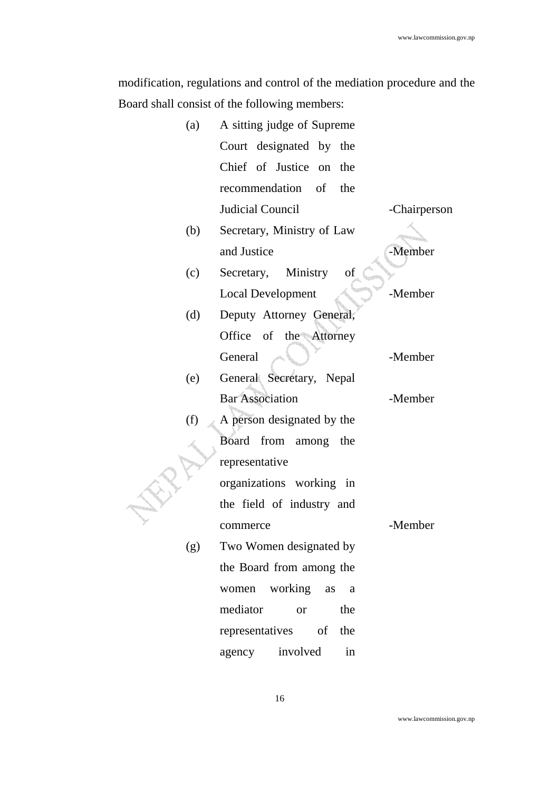modification, regulations and control of the mediation procedure and the Board shall consist of the following members:

|  | (a) | A sitting judge of Supreme   |              |
|--|-----|------------------------------|--------------|
|  |     | Court designated by the      |              |
|  |     | Chief of Justice on<br>the   |              |
|  |     | recommendation of the        |              |
|  |     | Judicial Council             | -Chairperson |
|  | (b) | Secretary, Ministry of Law   |              |
|  |     | and Justice                  | -Member      |
|  | (c) | Ministry<br>of<br>Secretary, |              |
|  |     | <b>Local Development</b>     | -Member      |
|  | (d) | Deputy Attorney General,     |              |
|  |     | Office of the Attorney       |              |
|  |     | General                      | -Member      |
|  | (e) | General Secretary, Nepal     |              |
|  |     | <b>Bar Association</b>       | -Member      |
|  | (f) | A person designated by the   |              |
|  |     | Board<br>from among the      |              |
|  |     | representative               |              |
|  |     | organizations working in     |              |
|  |     | the field of industry and    |              |
|  |     | commerce                     | -Member      |
|  | (g) | Two Women designated by      |              |
|  |     | the Board from among the     |              |
|  |     | working<br>women<br>as<br>a  |              |
|  |     | mediator<br>the<br><b>or</b> |              |
|  |     | representatives of<br>the    |              |
|  |     | involved<br>agency<br>in     |              |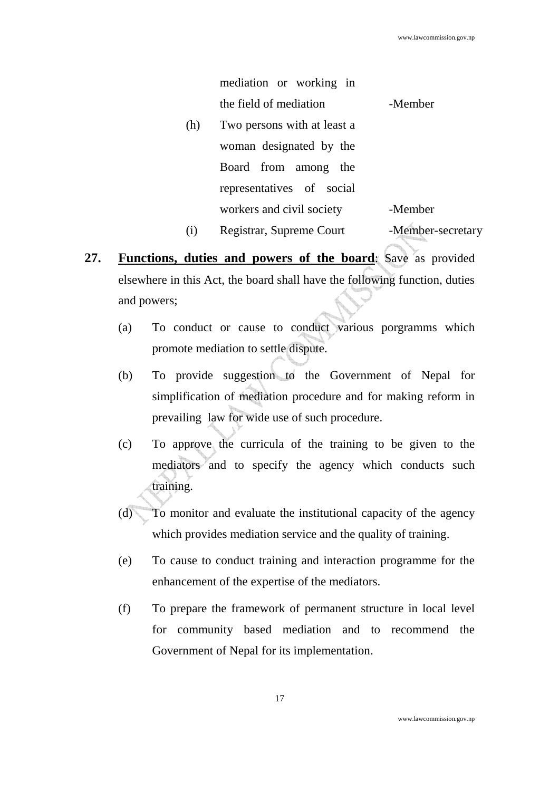|     | mediation or working in     |                   |
|-----|-----------------------------|-------------------|
|     | the field of mediation      | -Member           |
| (h) | Two persons with at least a |                   |
|     | woman designated by the     |                   |
|     | Board from among the        |                   |
|     | representatives of social   |                   |
|     | workers and civil society   | -Member           |
| (i) | Registrar, Supreme Court    | -Member-secretary |

- **27. Functions, duties and powers of the board**: Save as provided elsewhere in this Act, the board shall have the following function, duties and powers;
	- (a) To conduct or cause to conduct various porgramms which promote mediation to settle dispute.
	- (b) To provide suggestion to the Government of Nepal for simplification of mediation procedure and for making reform in prevailing law for wide use of such procedure.
	- (c) To approve the curricula of the training to be given to the mediators and to specify the agency which conducts such training.
	- (d) To monitor and evaluate the institutional capacity of the agency which provides mediation service and the quality of training.
	- (e) To cause to conduct training and interaction programme for the enhancement of the expertise of the mediators.
	- (f) To prepare the framework of permanent structure in local level for community based mediation and to recommend the Government of Nepal for its implementation.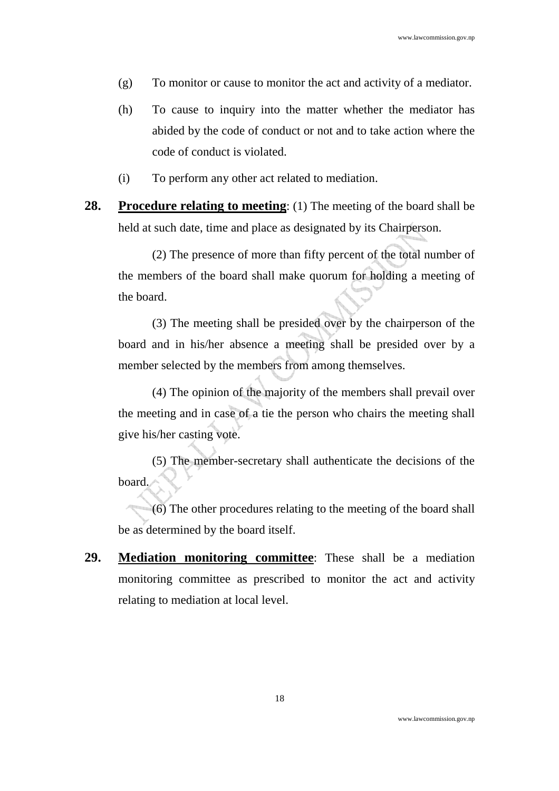- (g) To monitor or cause to monitor the act and activity of a mediator.
- (h) To cause to inquiry into the matter whether the mediator has abided by the code of conduct or not and to take action where the code of conduct is violated.
- (i) To perform any other act related to mediation.
- **28. Procedure relating to meeting**: (1) The meeting of the board shall be held at such date, time and place as designated by its Chairperson.

(2) The presence of more than fifty percent of the total number of the members of the board shall make quorum for holding a meeting of the board.

(3) The meeting shall be presided over by the chairperson of the board and in his/her absence a meeting shall be presided over by a member selected by the members from among themselves.

(4) The opinion of the majority of the members shall prevail over the meeting and in case of a tie the person who chairs the meeting shall give his/her casting vote.

(5) The member-secretary shall authenticate the decisions of the board.

(6) The other procedures relating to the meeting of the board shall be as determined by the board itself.

**29. Mediation monitoring committee**: These shall be a mediation monitoring committee as prescribed to monitor the act and activity relating to mediation at local level.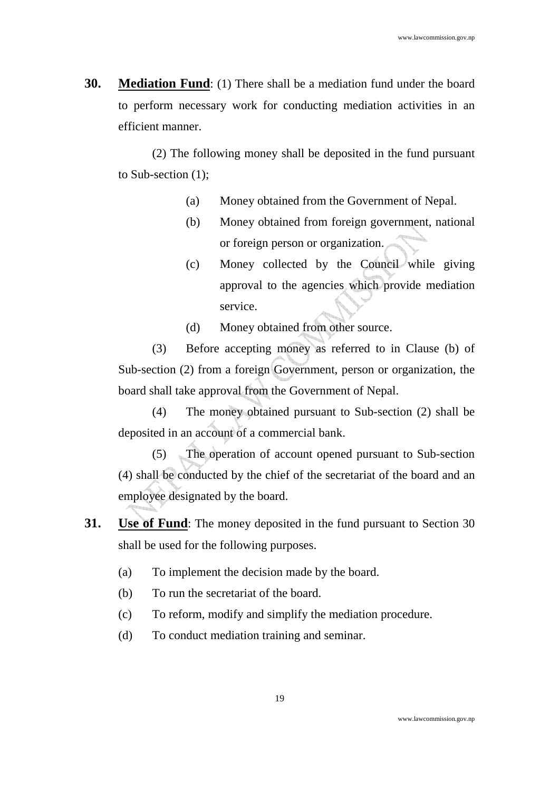**30. Mediation Fund**: (1) There shall be a mediation fund under the board to perform necessary work for conducting mediation activities in an efficient manner.

(2) The following money shall be deposited in the fund pursuant to Sub-section (1);

- (a) Money obtained from the Government of Nepal.
- (b) Money obtained from foreign government, national or foreign person or organization.
- (c) Money collected by the Council while giving approval to the agencies which provide mediation service.
- (d) Money obtained from other source.

(3) Before accepting money as referred to in Clause (b) of Sub-section (2) from a foreign Government, person or organization, the board shall take approval from the Government of Nepal.

(4) The money obtained pursuant to Sub-section (2) shall be deposited in an account of a commercial bank.

(5) The operation of account opened pursuant to Sub-section (4) shall be conducted by the chief of the secretariat of the board and an employee designated by the board.

- **31. Use of Fund**: The money deposited in the fund pursuant to Section 30 shall be used for the following purposes.
	- (a) To implement the decision made by the board.
	- (b) To run the secretariat of the board.
	- (c) To reform, modify and simplify the mediation procedure.
	- (d) To conduct mediation training and seminar.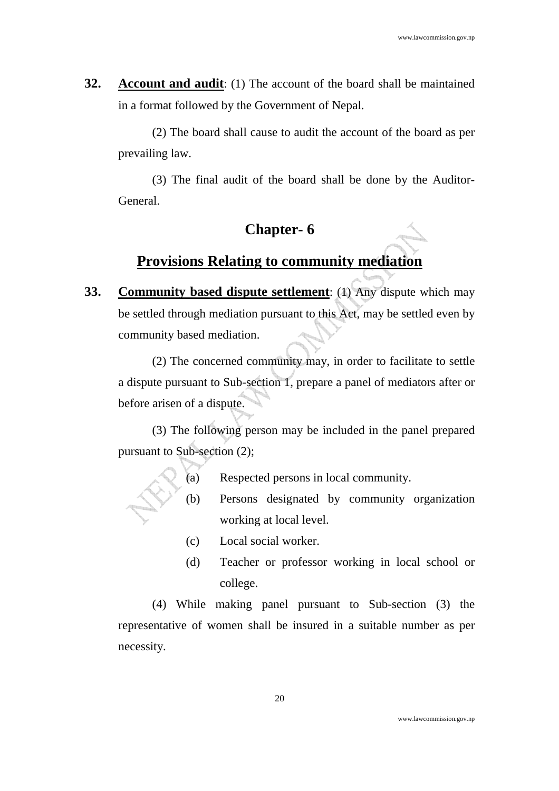**32. Account and audit**: (1) The account of the board shall be maintained in a format followed by the Government of Nepal.

(2) The board shall cause to audit the account of the board as per prevailing law.

(3) The final audit of the board shall be done by the Auditor-General.

## **Chapter- 6**

# **Provisions Relating to community mediation**

**33. Community based dispute settlement**: (1) Any dispute which may be settled through mediation pursuant to this Act, may be settled even by community based mediation.

(2) The concerned community may, in order to facilitate to settle a dispute pursuant to Sub-section 1, prepare a panel of mediators after or before arisen of a dispute.

(3) The following person may be included in the panel prepared pursuant to Sub-section (2);

- (a) Respected persons in local community.
- (b) Persons designated by community organization working at local level.
	- (c) Local social worker.
	- (d) Teacher or professor working in local school or college.

(4) While making panel pursuant to Sub-section (3) the representative of women shall be insured in a suitable number as per necessity.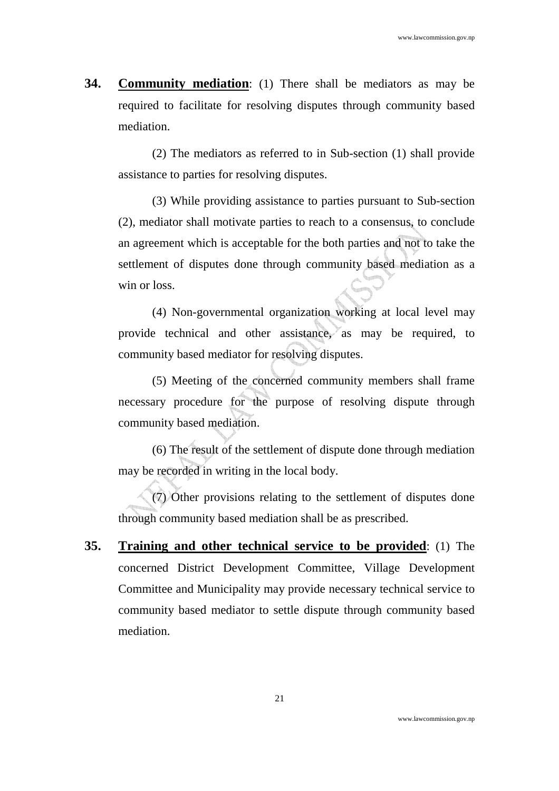**34. Community mediation**: (1) There shall be mediators as may be required to facilitate for resolving disputes through community based mediation.

(2) The mediators as referred to in Sub-section (1) shall provide assistance to parties for resolving disputes.

(3) While providing assistance to parties pursuant to Sub-section (2), mediator shall motivate parties to reach to a consensus, to conclude an agreement which is acceptable for the both parties and not to take the settlement of disputes done through community based mediation as a win or loss.

(4) Non-governmental organization working at local level may provide technical and other assistance, as may be required, to community based mediator for resolving disputes.

(5) Meeting of the concerned community members shall frame necessary procedure for the purpose of resolving dispute through community based mediation.

(6) The result of the settlement of dispute done through mediation may be recorded in writing in the local body.

(7) Other provisions relating to the settlement of disputes done through community based mediation shall be as prescribed.

**35. Training and other technical service to be provided**: (1) The concerned District Development Committee, Village Development Committee and Municipality may provide necessary technical service to community based mediator to settle dispute through community based mediation.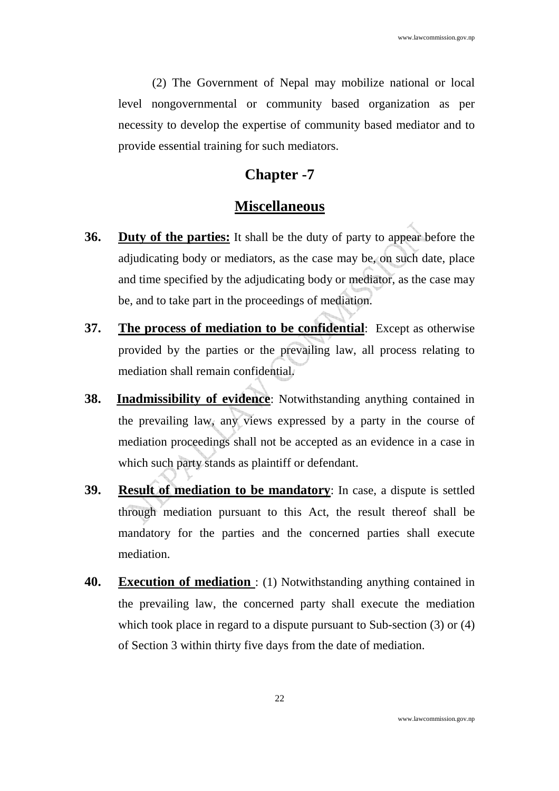(2) The Government of Nepal may mobilize national or local level nongovernmental or community based organization as per necessity to develop the expertise of community based mediator and to provide essential training for such mediators.

### **Chapter -7**

#### **Miscellaneous**

- **36. Duty of the parties:** It shall be the duty of party to appear before the adjudicating body or mediators, as the case may be, on such date, place and time specified by the adjudicating body or mediator, as the case may be, and to take part in the proceedings of mediation.
- **37. The process of mediation to be confidential**: Except as otherwise provided by the parties or the prevailing law, all process relating to mediation shall remain confidential.
- **38. Inadmissibility of evidence**: Notwithstanding anything contained in the prevailing law, any views expressed by a party in the course of mediation proceedings shall not be accepted as an evidence in a case in which such party stands as plaintiff or defendant.
- **39. Result of mediation to be mandatory**: In case, a dispute is settled through mediation pursuant to this Act, the result thereof shall be mandatory for the parties and the concerned parties shall execute mediation.
- **40. Execution of mediation** : (1) Notwithstanding anything contained in the prevailing law, the concerned party shall execute the mediation which took place in regard to a dispute pursuant to Sub-section (3) or (4) of Section 3 within thirty five days from the date of mediation.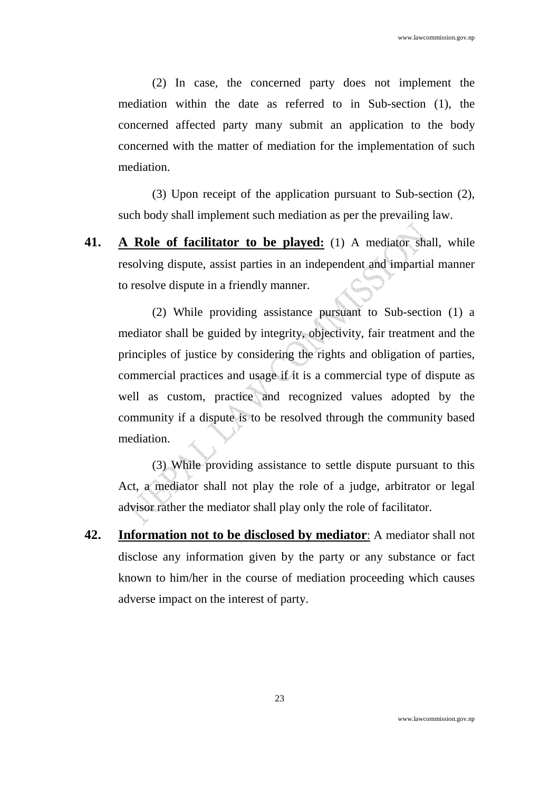(2) In case, the concerned party does not implement the mediation within the date as referred to in Sub-section (1), the concerned affected party many submit an application to the body concerned with the matter of mediation for the implementation of such mediation.

(3) Upon receipt of the application pursuant to Sub-section (2), such body shall implement such mediation as per the prevailing law.

**41. A Role of facilitator to be played:** (1) A mediator shall, while resolving dispute, assist parties in an independent and impartial manner to resolve dispute in a friendly manner.

(2) While providing assistance pursuant to Sub-section (1) a mediator shall be guided by integrity, objectivity, fair treatment and the principles of justice by considering the rights and obligation of parties, commercial practices and usage if it is a commercial type of dispute as well as custom, practice and recognized values adopted by the community if a dispute is to be resolved through the community based mediation.

(3) While providing assistance to settle dispute pursuant to this Act, a mediator shall not play the role of a judge, arbitrator or legal advisor rather the mediator shall play only the role of facilitator.

**42. Information not to be disclosed by mediator**: A mediator shall not disclose any information given by the party or any substance or fact known to him/her in the course of mediation proceeding which causes adverse impact on the interest of party.